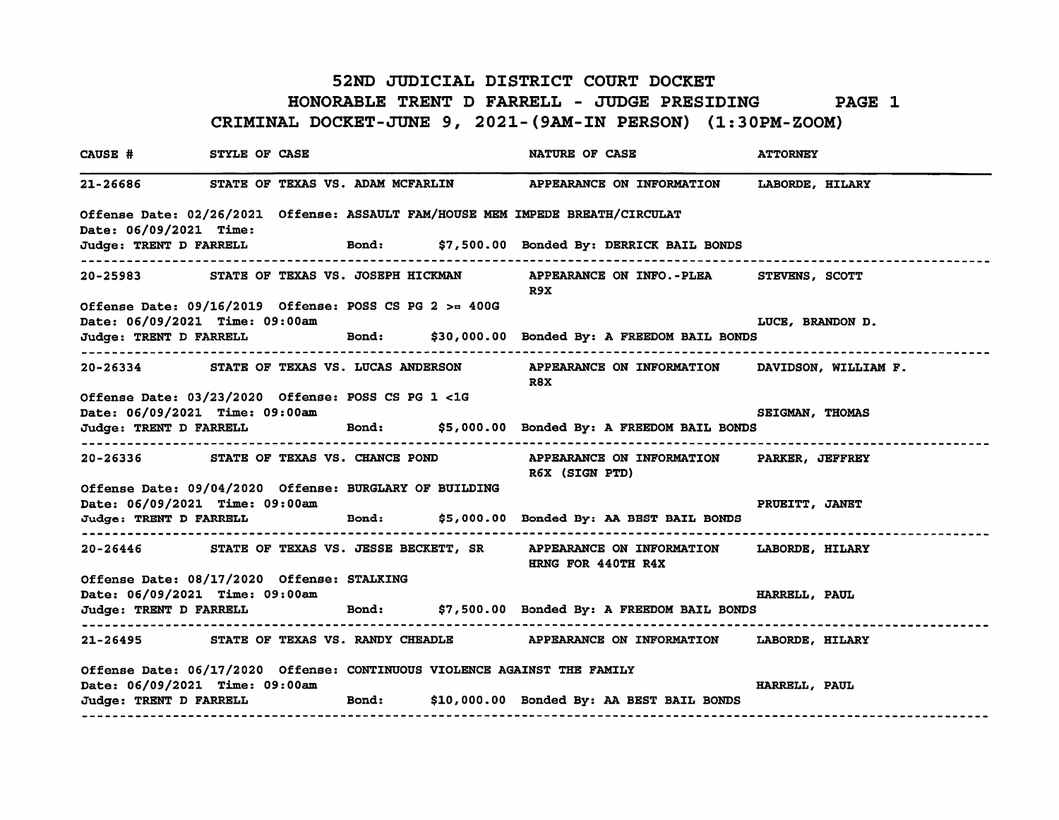## 52ND JUDICIAL DISTRICT COURT DOCKET HONORABLE TRENT D FARRELL - JUDGE PRESIDING PAGE 1 CRIMINAL DOCKET-JUNE 9, 2021-(9AM-IN PERSON) (1:30PM-ZOOM)

| CAUSE # STYLE OF CASE          |                                                                                            |  | NATURE OF CASE                                                                                                | <b>ATTORNEY</b>        |
|--------------------------------|--------------------------------------------------------------------------------------------|--|---------------------------------------------------------------------------------------------------------------|------------------------|
|                                |                                                                                            |  | 21-26686 STATE OF TEXAS VS. ADAM MCFARLIN APPEARANCE ON INFORMATION LABORDE, HILARY                           |                        |
| Date: 06/09/2021 Time:         |                                                                                            |  | Offense Date: 02/26/2021 Offense: ASSAULT FAM/HOUSE MEM IMPEDE BREATH/CIRCULAT                                |                        |
|                                | -------------------------------------                                                      |  | Judge: TRENT D FARRELL Bond: \$7,500.00 Bonded By: DERRICK BAIL BONDS<br>---------------------------------    |                        |
|                                |                                                                                            |  | 20-25983 STATE OF TEXAS VS. JOSEPH HICKMAN APPEARANCE ON INFO.-PLEA STEVENS, SCOTT<br>R9X                     |                        |
|                                | Offense Date: $09/16/2019$ Offense: POSS CS PG 2 >= 400G<br>Date: 06/09/2021 Time: 09:00am |  |                                                                                                               | LUCE, BRANDON D.       |
|                                |                                                                                            |  | Judge: TRENT D FARRELL Bond: \$30,000.00 Bonded By: A FREEDOM BAIL BONDS                                      |                        |
|                                |                                                                                            |  | 20-26334 STATE OF TEXAS VS. LUCAS ANDERSON APPEARANCE ON INFORMATION DAVIDSON, WILLIAM F.<br>R8X              |                        |
| Date: 06/09/2021 Time: 09:00am | Offense Date: 03/23/2020 Offense: POSS CS PG 1 <1G                                         |  |                                                                                                               | <b>SEIGMAN, THOMAS</b> |
|                                |                                                                                            |  | Judge: TRENT D FARRELL Bond: \$5,000.00 Bonded By: A FREEDOM BAIL BONDS                                       |                        |
|                                | ----------------------------------                                                         |  | 20-26336 STATE OF TEXAS VS. CHANCE POND APPEARANCE ON INFORMATION PARKER, JEFFREY<br>R6X (SIGN PTD)           |                        |
|                                | Offense Date: 09/04/2020 Offense: BURGLARY OF BUILDING<br>Date: 06/09/2021 Time: 09:00am   |  |                                                                                                               | PRUEITT, JANET         |
|                                |                                                                                            |  | Judge: TRENT D FARRELL Bond: \$5,000.00 Bonded By: AA BEST BAIL BONDS<br>-------------------------------      |                        |
|                                |                                                                                            |  | 20-26446 STATE OF TEXAS VS. JESSE BECKETT, SR APPEARANCE ON INFORMATION LABORDE, HILARY<br>HRNG FOR 440TH R4X |                        |
|                                | Offense Date: 08/17/2020 Offense: STALKING<br>Date: 06/09/2021 Time: 09:00am               |  |                                                                                                               | <b>HARRELL, PAUL</b>   |
|                                |                                                                                            |  | Judge: TRENT D FARRELL Bond: \$7,500.00 Bonded By: A FREEDOM BAIL BONDS                                       |                        |
|                                |                                                                                            |  | 21-26495 STATE OF TEXAS VS. RANDY CHEADLE APPEARANCE ON INFORMATION LABORDE, HILARY                           |                        |
|                                | Offense Date: 06/17/2020 Offense: CONTINUOUS VIOLENCE AGAINST THE FAMILY                   |  |                                                                                                               |                        |
|                                | Date: 06/09/2021 Time: 09:00am                                                             |  | Judge: TRENT D FARRELL Bond: \$10,000.00 Bonded By: AA BEST BAIL BONDS                                        | HARRELL, PAUL          |
|                                |                                                                                            |  |                                                                                                               |                        |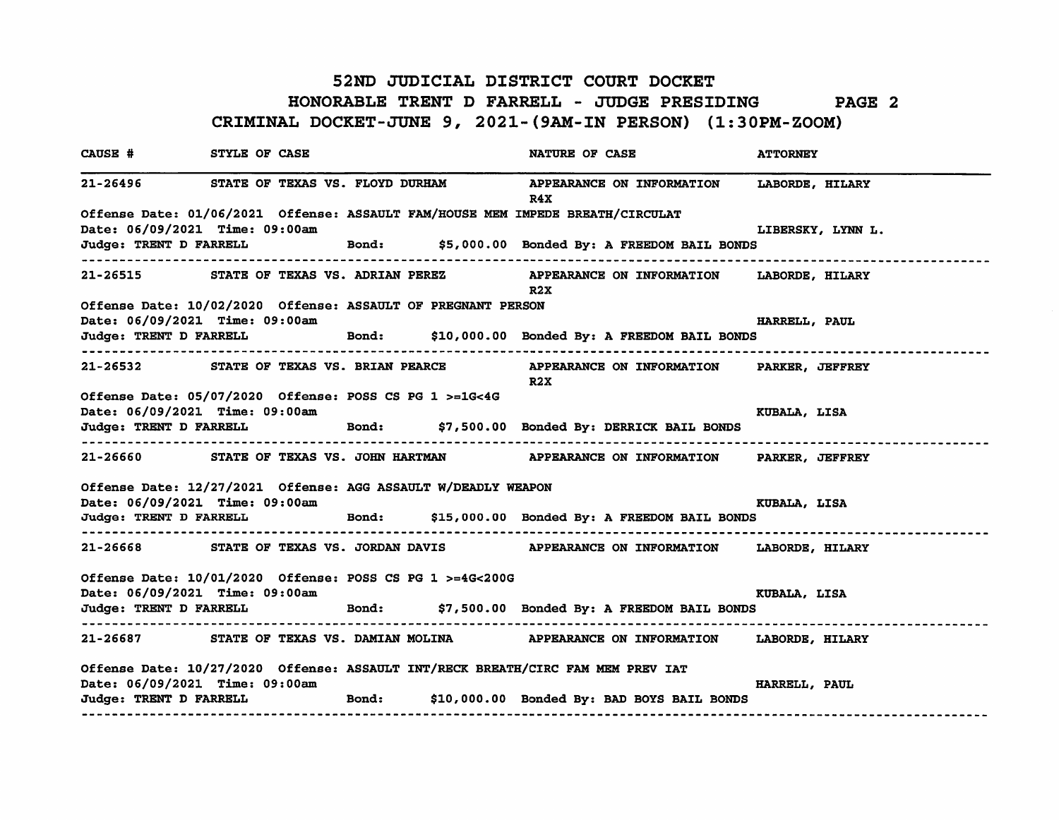#### 52ND JUDICIAL DISTRICT COURT DOCKET HONORABLE TRENT D FARRELL - JUDGE PRESIDING PAGE 2 CRIMINAL DOCKET-JUNE 9, 2021-(9AM-IN PERSON) (1:30PM-ZOOM)

CAUSE # STYLE OF CASE NATURE OF CASE ATTORNEY 21-26496 STATE OF TEXAS VS. FLOYD DURHAM APPEARANCE ON INFORMATION LABORDE, HILARY R4X Offense Date: 01/06/2021 Offense: ASSAULT FAM/HOUSE MEM IMPEDE BREATH/CIRCULAT Date: 06/09/2021 Time: 09:00am Letter Controller the control of the control of the LIBERSKY, LYNN L. Judge: TRENT D FARRELL Bond: \$5,000.00 Bonded By: A FREEDOM BAIL BONDS 21-26515 STATE OF TEXAS VS. ADRIAN PEREZ APPEARANCE ON INFORMATION LABORDE, HILARY R2X Offense Date: 10/02/2020 Offense: ASSAULT OF PREGNANT PERSON Date: 06/09/2021 Time: 09:00am **HARRELL, PAUL** Judge: TRENT D FARRELL Bond: \$10,000.00 Bonded By: A FREEDOM BAIL BONDS 21-26532 STATE OF TEXAS VS. BRIAN PEARCE APPEARANCE ON INFORMATION PARKER, JEFFREY R2X Offense Date: 05/07/2020 Offense: POSS CS PG 1 >=1g<4G Date: 06/09/2021 Time: 09:00am KUBALA, LISA Judge: TRENT D FARRELL Bond: \$7,500.00 Bonded By: DERRICK BAIL BONDS 21-26660 STATE OF TEXAS VS. JOHN HARTMAN APPEARANCE ON INFORMATION PARKER, JEFFREY Offense Date: 12/27/2021 Offense: AGG ASSAULT W/DEADLY WEAPON Date: 06/09/2021 Time: 09:00am KUBALA, LISA Judge: TRENT D FARRELL Bond: \$15,000.00 Bonded By: A FREEDOM BAIL BONDS 21-26668 STATE OF TEXAS VS. JORDAN DAVIS APPEARANCE ON INFORMATION LABORDE, HILARY Offense Date: 10/01/2020 Offense: POSS CS PG 1 >=4G<200G Date: 06/09/2021 Time: 09:00am KUBALA, LISA Judge: TRENT D FARRELL Bond: \$7,500.00 Bonded By: A FREEDOM BAIL BONDS 21-26687 STATE OF TEXAS VS. DAMIAN MOLINA APPEARANCE ON INFORMATION LABORDE, HILARY Offense Date: 10/27/2020 Offense: ASSAULT INT/RECK BREATH/CIRC FAM MEM PREV lAT Date: 06/09/2021 Time: 09:00am HARRELL, PAUL Judge: TRENT D FARRELL Bond: \$10,000.00 Bonded By: BAD BOYS BAIL BONDS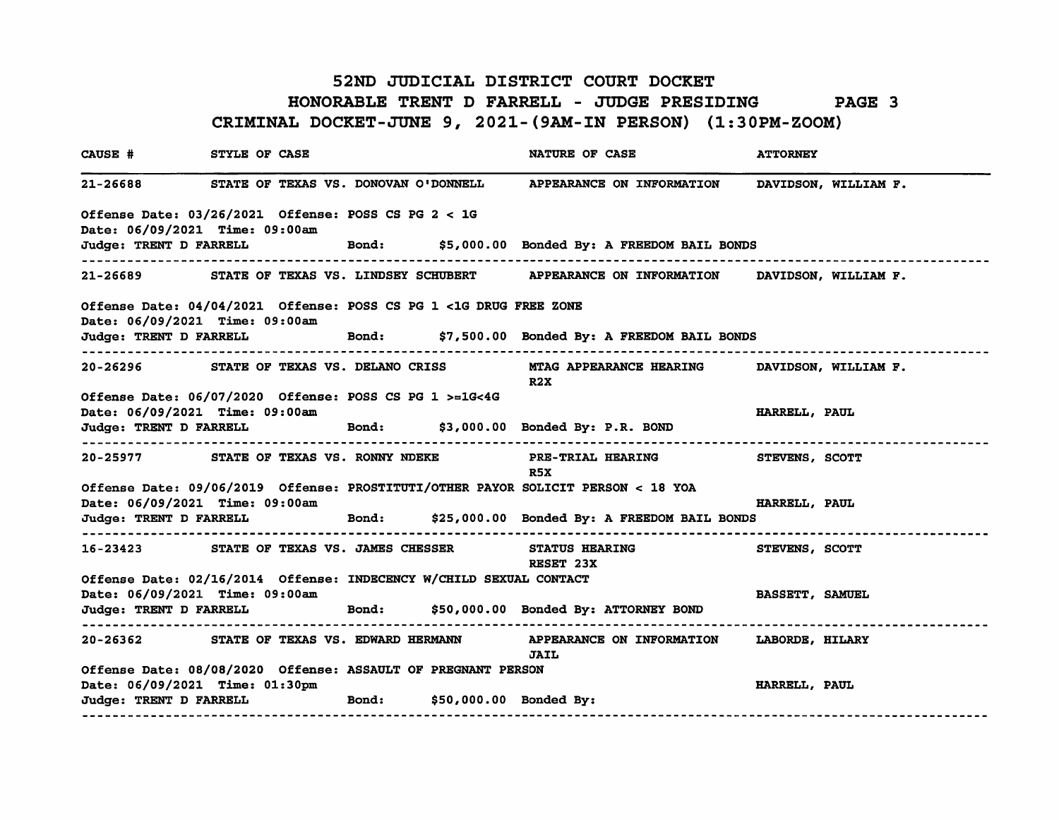#### 52ND JUDICIAL DISTRICT COURT DOCKET HONORABLE TRENT D FARRELL - JUDGE PRESIDING PAGE 3 CRIMINAL DOCKET-JUNE 9, 2021-(9AM-IN PERSON) (1:30PM-ZOOM)

CAUSE # STYLE OF CASE NATURE OF CASE ATTORNEY 21-26688 STATE OF TEXAS VS. DONOVAN O'DONNELL APPEARANCE ON INFORMATION DAVIDSON, WILLIAM F. Offense Date: 03/26/2021 Offense: POSS CS P6 2 < 16 Date: 06/09/2021 Time: 09:00am Judge: TRENT D FARRELL Bond: \$5,000.00 Bonded By: A FREEDOM BAIL BONDS 21-26689 STATE OF TEXAS VS. LINDSEY SCHUBERT APPEARANCE ON INFORMATION DAVIDSON, WILLIAM F. Offense Date: 04/04/2021 Offense: POSS CS P6 1 <16 DRU6 FREE ZONE Date: 06/09/2021 Time: 09:00am Judge: TRENT D FARRELL Bond: \$7,500.00 Bonded By: A FREEDOM BAIL BONDS 20-26296 STATE OF TEXAS VS. DELANO CRISS NTAG APPEARANCE HEARING DAVIDSON, WILLIAM F. R2X Offense Date: 06/07/2020 Offense: POSS CS P6 1 >=16<46 Date: 06/09/2021 Time: 09:00am **HARRELL, PAUL AUL** Judge: TRENT D FARRELL Bond: \$3,000.00 Bonded By: P.R. BOND 20-25977 STATE OF TEXAS VS. RONNY NDEKE PRE-TRIAL HEARIN6 STEVENS, SCOTT R5X Offense Date: 09/06/2019 Offense: PROSTITUTI/OTHER PAYOR SOLICIT PERSON < 18 YOA Date: 06/09/2021 Time: 09:00am HARRELL, PAUL Judge: TRENT D FARRELL Bond: \$25,000.00 Bonded By: A FREEDOM BAIL BONDS 16-23423 STATE OF TEXAS VS. JAMES CHESSER STATUS HEARIN6 STEVENS, SCOTT RESET 23X Offense Date: 02/16/2014 Offense: INDECENCY W/CHILD SEXUAL CONTACT Date: 06/09/2021 Time: 09:00am BASSETT, SAMUEL Judge: TRENT D FARRELL Bond: \$50,000.00 Bonded By: ATTORNEY BOND 20-26362 STATE OF TEXAS VS. EDWARD HERMANN APPEARANCE ON INFORMATION LABORDE, HILARY JAIL Offense Date: 08/08/2020 Offense: ASSAULT OF PRE6NANT PERSON Date: 06/09/2021 Time: 01:30pm **HARRELL, PAUL EXECUTE: 1999** HARRELL, PAUL Judge: TRENT D FARRELL Bond: \$50,000.00 Bonded By: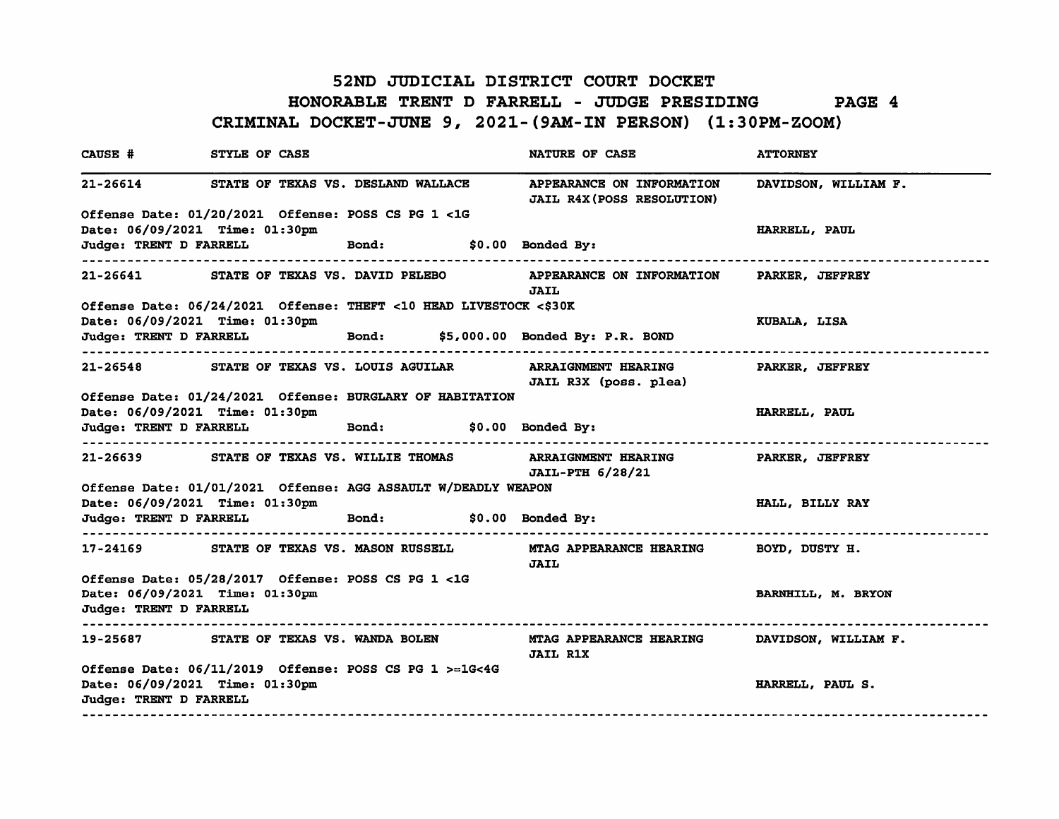# 52ND JUDICIAL DISTRICT COURT DOCKET HONORABLE TRENT D FARRELL - JUDGE PRESIDING PAGE 4 CRIMINAL DOCKET-JUNE 9, 2021-(9AM-IN PERSON) (1:30PM-ZOOM)

| CAUSE # STYLE OF CASE                                    |                                                                   |  |  | <b>NATURE OF CASE</b>                                                                                    | <b>ATTORNEY</b>      |  |  |
|----------------------------------------------------------|-------------------------------------------------------------------|--|--|----------------------------------------------------------------------------------------------------------|----------------------|--|--|
|                                                          | 21-26614 STATE OF TEXAS VS. DESLAND WALLACE                       |  |  | APPEARANCE ON INFORMATION<br><b>JAIL R4X (POSS RESOLUTION)</b>                                           | DAVIDSON, WILLIAM F. |  |  |
|                                                          | Offense Date: 01/20/2021 Offense: POSS CS PG 1 <1G                |  |  |                                                                                                          |                      |  |  |
|                                                          | Date: 06/09/2021 Time: 01:30pm                                    |  |  |                                                                                                          | HARRELL, PAUL        |  |  |
|                                                          | Judge: TRENT D FARRELL Bond: \$0.00 Bonded By:                    |  |  |                                                                                                          |                      |  |  |
|                                                          | 21-26641 STATE OF TEXAS VS. DAVID PELEBO                          |  |  | APPEARANCE ON INFORMATION PARKER, JEFFREY<br><b>JAIL</b>                                                 |                      |  |  |
|                                                          | Offense Date: 06/24/2021 Offense: THEFT <10 HEAD LIVESTOCK <\$30K |  |  |                                                                                                          |                      |  |  |
|                                                          | Date: 06/09/2021 Time: 01:30pm                                    |  |  |                                                                                                          | KUBALA, LISA         |  |  |
|                                                          |                                                                   |  |  | Judge: TRENT D FARRELL Bond: \$5,000.00 Bonded By: P.R. BOND                                             |                      |  |  |
|                                                          | 21-26548 STATE OF TEXAS VS. LOUIS AGUILAR                         |  |  | JAIL R3X (poss. plea)                                                                                    |                      |  |  |
|                                                          | Offense Date: 01/24/2021 Offense: BURGLARY OF HABITATION          |  |  |                                                                                                          |                      |  |  |
|                                                          | Date: 06/09/2021 Time: 01:30pm                                    |  |  |                                                                                                          | <b>HARRELL, PAUL</b> |  |  |
|                                                          | Judge: TRENT D FARRELL Bond: \$0.00 Bonded By:                    |  |  |                                                                                                          |                      |  |  |
|                                                          |                                                                   |  |  | 21-26639 STATE OF TEXAS VS. WILLIE THOMAS ARRAIGNMENT HEARING PARKER, JEFFREY<br><b>JAIL-PTH 6/28/21</b> |                      |  |  |
|                                                          | Offense Date: 01/01/2021 Offense: AGG ASSAULT W/DEADLY WEAPON     |  |  |                                                                                                          |                      |  |  |
|                                                          | Date: 06/09/2021 Time: 01:30pm                                    |  |  |                                                                                                          | HALL, BILLY RAY      |  |  |
| ------------------                                       | Judge: TRENT D FARRELL Bond: \$0.00 Bonded By:                    |  |  |                                                                                                          |                      |  |  |
|                                                          |                                                                   |  |  | 17-24169 STATE OF TEXAS VS. MASON RUSSELL MTAG APPEARANCE HEARING BOYD, DUSTY H.<br><b>JAIL</b>          |                      |  |  |
|                                                          | Offense Date: 05/28/2017 Offense: POSS CS PG 1 <1G                |  |  |                                                                                                          |                      |  |  |
| Date: 06/09/2021 Time: 01:30pm                           |                                                                   |  |  |                                                                                                          | BARNHILL, M. BRYON   |  |  |
| Judge: TRENT D FARRELL                                   |                                                                   |  |  |                                                                                                          |                      |  |  |
| -----------------                                        |                                                                   |  |  | 19-25687 STATE OF TEXAS VS. WANDA BOLEN MTAG APPEARANCE HEARING DAVIDSON, WILLIAM F.<br><b>JAIL R1X</b>  |                      |  |  |
| Date: 06/09/2021 Time: 01:30pm<br>Judge: TRENT D FARRELL | Offense Date: 06/11/2019 Offense: POSS CS PG 1 >=1G<4G            |  |  |                                                                                                          | HARRELL, PAUL S.     |  |  |
| -------------------                                      |                                                                   |  |  |                                                                                                          |                      |  |  |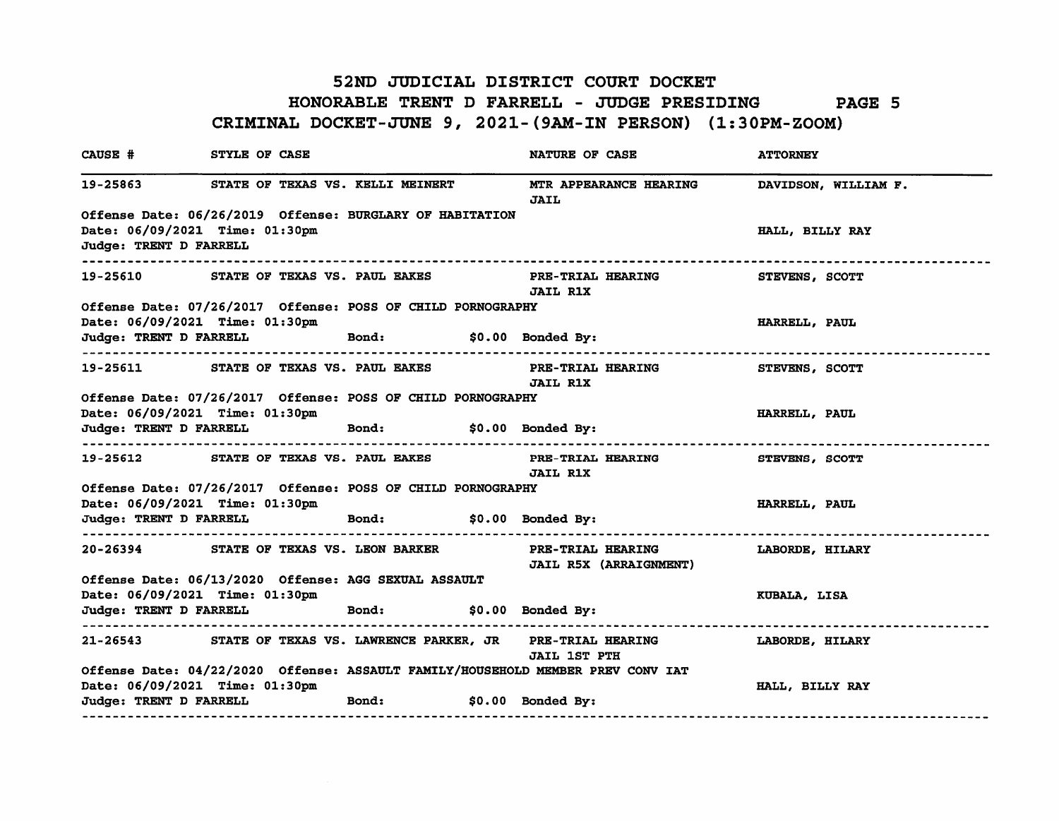### 52ND JUDICIAL DISTRICT COURT DOCKET HONORABLE TRENT D FARRELL - JUDGE PRESIDING PAGE 5 CRIMINAL DOCKET-JUNE 9, 2021-(9AM-IN PERSON) (1:30PM-ZOOM)

| <b>CAUSE #</b>         | STYLE OF CASE                                                                       |                  |  | <b>NATURE OF CASE</b>                                                                                      | <b>ATTORNEY</b>       |  |  |
|------------------------|-------------------------------------------------------------------------------------|------------------|--|------------------------------------------------------------------------------------------------------------|-----------------------|--|--|
|                        | 19-25863 STATE OF TEXAS VS. KELLI MEINERT                                           |                  |  | MTR APPEARANCE HEARING<br><b>JAIL</b>                                                                      | DAVIDSON, WILLIAM F.  |  |  |
|                        | Offense Date: 06/26/2019 Offense: BURGLARY OF HABITATION                            |                  |  |                                                                                                            |                       |  |  |
|                        | Date: 06/09/2021 Time: 01:30pm                                                      |                  |  |                                                                                                            | HALL, BILLY RAY       |  |  |
| Judge: TRENT D FARRELL | -----------------------------                                                       |                  |  |                                                                                                            |                       |  |  |
|                        | 19-25610 STATE OF TEXAS VS. PAUL EAKES                                              |                  |  | <b>PRE-TRIAL HEARING STEVENS, SCOTT</b><br><b>JAIL R1X</b>                                                 |                       |  |  |
|                        | Offense Date: 07/26/2017 Offense: POSS OF CHILD PORNOGRAPHY                         |                  |  |                                                                                                            |                       |  |  |
|                        | Date: 06/09/2021 Time: 01:30pm                                                      |                  |  |                                                                                                            | HARRELL, PAUL         |  |  |
|                        | Judge: TRENT D FARRELL Bond: \$0.00 Bonded By:                                      |                  |  | ----------------------------------                                                                         | --------------------- |  |  |
|                        | 19-25611 STATE OF TEXAS VS. PAUL EAKES                                              |                  |  | PRE-TRIAL HEARING STEVENS, SCOTT<br><b>JAIL R1X</b>                                                        |                       |  |  |
|                        | Offense Date: 07/26/2017 Offense: POSS OF CHILD PORNOGRAPHY                         |                  |  |                                                                                                            |                       |  |  |
|                        | Date: 06/09/2021 Time: 01:30pm                                                      |                  |  |                                                                                                            | HARRELL, PAUL         |  |  |
|                        | Judge: TRENT D FARRELL <b>budge: TRENT D</b> FARRELL <b>budge: SO.00</b> Bonded By: |                  |  |                                                                                                            |                       |  |  |
|                        |                                                                                     |                  |  | 19-25612 STATE OF TEXAS VS. PAUL EAKES PRE-TRIAL HEARING STEVENS, SCOTT<br><b>JAIL R1X</b>                 |                       |  |  |
|                        | Offense Date: 07/26/2017 Offense: POSS OF CHILD PORNOGRAPHY                         |                  |  |                                                                                                            |                       |  |  |
|                        | Date: 06/09/2021 Time: 01:30pm                                                      |                  |  |                                                                                                            | HARRELL, PAUL         |  |  |
|                        | Judge: TRENT D FARRELL Bond: \$0.00 Bonded By:<br>------------------------------    |                  |  | . <i>.</i>                                                                                                 |                       |  |  |
|                        |                                                                                     |                  |  | 20-26394 STATE OF TEXAS VS. LEON BARKER PRE-TRIAL HEARING LABORDE, HILARY<br><b>JAIL R5X (ARRAIGNMENT)</b> |                       |  |  |
|                        | Offense Date: 06/13/2020 Offense: AGG SEXUAL ASSAULT                                |                  |  |                                                                                                            |                       |  |  |
|                        | Date: 06/09/2021 Time: 01:30pm                                                      |                  |  |                                                                                                            | KUBALA, LISA          |  |  |
| ------------------     | Judge: TRENT D FARRELL Bond: \$0.00 Bonded By:                                      |                  |  |                                                                                                            |                       |  |  |
|                        |                                                                                     |                  |  | 21-26543 STATE OF TEXAS VS. LAWRENCE PARKER, JR PRE-TRIAL HEARING LABORDE, HILARY<br><b>JAIL 1ST PTH</b>   |                       |  |  |
|                        |                                                                                     |                  |  | Offense Date: 04/22/2020 Offense: ASSAULT FAMILY/HOUSEHOLD MEMBER PREV CONV IAT                            |                       |  |  |
|                        | Date: 06/09/2021 Time: 01:30pm                                                      |                  |  |                                                                                                            | HALL, BILLY RAY       |  |  |
| Judge: TRENT D FARRELL |                                                                                     | <b>Example 1</b> |  | $$0.00$ Bonded By:                                                                                         |                       |  |  |
|                        | ---------------------------------                                                   |                  |  |                                                                                                            |                       |  |  |